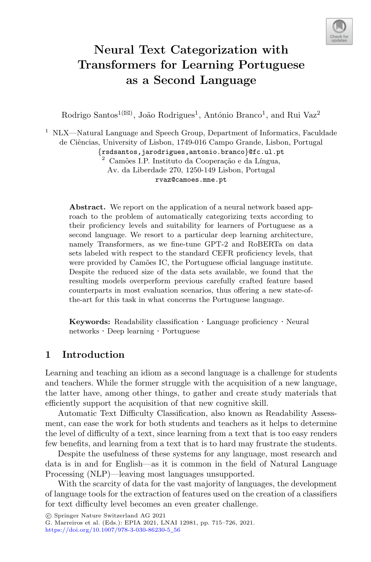

# **Neural Text Categorization with Transformers for Learning Portuguese as a Second Language**

Rodrigo Santos<sup>1( $\boxtimes$ )</sup>, João Rodrigues<sup>1</sup>, António Branco<sup>1</sup>, and Rui Vaz<sup>2</sup>

 $1$  NLX—Natural Language and Speech Group, Department of Informatics, Faculdade de Ciências, University of Lisbon, 1749-016 Campo Grande, Lisbon, Portugal *{*rsdsantos,jarodrigues,antonio.branco*}*@fc.ul.pt <sup>2</sup> Cam˜oes I.P. Instituto da Coopera¸c˜ao e da L´ıngua, Av. da Liberdade 270, 1250-149 Lisbon, Portugal rvaz@camoes.mne.pt

**Abstract.** We report on the application of a neural network based approach to the problem of automatically categorizing texts according to their proficiency levels and suitability for learners of Portuguese as a second language. We resort to a particular deep learning architecture, namely Transformers, as we fine-tune GPT-2 and RoBERTa on data sets labeled with respect to the standard CEFR proficiency levels, that were provided by Camões IC, the Portuguese official language institute. Despite the reduced size of the data sets available, we found that the resulting models overperform previous carefully crafted feature based counterparts in most evaluation scenarios, thus offering a new state-ofthe-art for this task in what concerns the Portuguese language.

**Keywords:** Readability classification · Language proficiency · Neural networks · Deep learning · Portuguese

### **1 Introduction**

Learning and teaching an idiom as a second language is a challenge for students and teachers. While the former struggle with the acquisition of a new language, the latter have, among other things, to gather and create study materials that efficiently support the acquisition of that new cognitive skill.

Automatic Text Difficulty Classification, also known as Readability Assessment, can ease the work for both students and teachers as it helps to determine the level of difficulty of a text, since learning from a text that is too easy renders few benefits, and learning from a text that is to hard may frustrate the students.

Despite the usefulness of these systems for any language, most research and data is in and for English—as it is common in the field of Natural Language Processing (NLP)—leaving most languages unsupported.

With the scarcity of data for the vast majority of languages, the development of language tools for the extraction of features used on the creation of a classifiers for text difficulty level becomes an even greater challenge.

-c Springer Nature Switzerland AG 2021

G. Marreiros et al. (Eds.): EPIA 2021, LNAI 12981, pp. 715–726, 2021. [https://doi.org/10.1007/978-3-030-86230-5](https://doi.org/10.1007/978-3-030-86230-5_56)\_56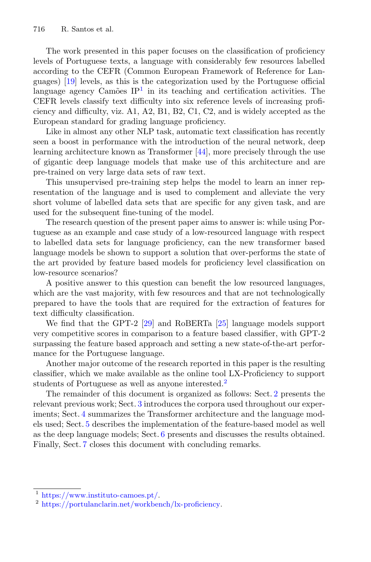The work presented in this paper focuses on the classification of proficiency levels of Portuguese texts, a language with considerably few resources labelled according to the CEFR (Common European Framework of Reference for Languages) [\[19\]](#page-10-0) levels, as this is the categorization used by the Portuguese official language agency Camões  $IP<sup>1</sup>$  $IP<sup>1</sup>$  $IP<sup>1</sup>$  in its teaching and certification activities. The CEFR levels classify text difficulty into six reference levels of increasing proficiency and difficulty, viz. A1, A2, B1, B2, C1, C2, and is widely accepted as the European standard for grading language proficiency.

Like in almost any other NLP task, automatic text classification has recently seen a boost in performance with the introduction of the neural network, deep learning architecture known as Transformer [\[44\]](#page-11-0), more precisely through the use of gigantic deep language models that make use of this architecture and are pre-trained on very large data sets of raw text.

This unsupervised pre-training step helps the model to learn an inner representation of the language and is used to complement and alleviate the very short volume of labelled data sets that are specific for any given task, and are used for the subsequent fine-tuning of the model.

The research question of the present paper aims to answer is: while using Portuguese as an example and case study of a low-resourced language with respect to labelled data sets for language proficiency, can the new transformer based language models be shown to support a solution that over-performs the state of the art provided by feature based models for proficiency level classification on low-resource scenarios?

A positive answer to this question can benefit the low resourced languages, which are the vast majority, with few resources and that are not technologically prepared to have the tools that are required for the extraction of features for text difficulty classification.

We find that the GPT-2 [\[29](#page-10-1)] and RoBERTa [\[25](#page-10-2)] language models support very competitive scores in comparison to a feature based classifier, with GPT-2 surpassing the feature based approach and setting a new state-of-the-art performance for the Portuguese language.

Another major outcome of the research reported in this paper is the resulting classifier, which we make available as the online tool LX-Proficiency to support students of Portuguese as well as anyone interested.<sup>[2](#page-1-1)</sup>

The remainder of this document is organized as follows: Sect. [2](#page-2-0) presents the relevant previous work; Sect. [3](#page-3-0) introduces the corpora used throughout our experiments; Sect. [4](#page-4-0) summarizes the Transformer architecture and the language models used; Sect. [5](#page-6-0) describes the implementation of the feature-based model as well as the deep language models; Sect. [6](#page-7-0) presents and discusses the results obtained. Finally, Sect. [7](#page-8-0) closes this document with concluding remarks.

<span id="page-1-0"></span> $1 \text{ https://www.instituto-camoes.pt/}.$ 

<span id="page-1-1"></span><sup>2</sup> [https://portulanclarin.net/workbench/lx-proficiency.](https://portulanclarin.net/workbench/lx-proficiency)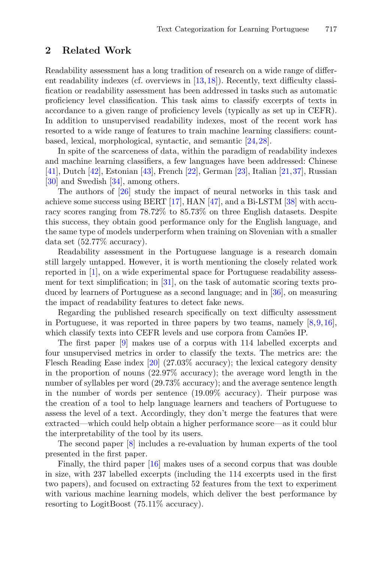#### <span id="page-2-0"></span>**2 Related Work**

Readability assessment has a long tradition of research on a wide range of different readability indexes (cf. overviews in [\[13,](#page-9-0)[18\]](#page-10-3)). Recently, text difficulty classification or readability assessment has been addressed in tasks such as automatic proficiency level classification. This task aims to classify excerpts of texts in accordance to a given range of proficiency levels (typically as set up in CEFR). In addition to unsupervised readability indexes, most of the recent work has resorted to a wide range of features to train machine learning classifiers: countbased, lexical, morphological, syntactic, and semantic [\[24,](#page-10-4)[28\]](#page-10-5).

In spite of the scarceness of data, within the paradigm of readability indexes and machine learning classifiers, a few languages have been addressed: Chinese [\[41](#page-11-1)], Dutch [\[42\]](#page-11-2), Estonian [\[43](#page-11-3)], French [\[22](#page-10-6)], German [\[23\]](#page-10-7), Italian [\[21](#page-10-8)[,37](#page-11-4)], Russian [\[30](#page-10-9)] and Swedish [\[34](#page-11-5)], among others.

The authors of [\[26](#page-10-10)] study the impact of neural networks in this task and achieve some success using BERT [\[17\]](#page-10-11), HAN [\[47\]](#page-11-6), and a Bi-LSTM [\[38](#page-11-7)] with accuracy scores ranging from 78.72% to 85.73% on three English datasets. Despite this success, they obtain good performance only for the English language, and the same type of models underperform when training on Slovenian with a smaller data set (52.77% accuracy).

Readability assessment in the Portuguese language is a research domain still largely untapped. However, it is worth mentioning the closely related work reported in [\[1](#page-9-1)], on a wide experimental space for Portuguese readability assessment for text simplification; in [\[31](#page-10-12)], on the task of automatic scoring texts produced by learners of Portuguese as a second language; and in [\[36](#page-11-8)], on measuring the impact of readability features to detect fake news.

Regarding the published research specifically on text difficulty assessment in Portuguese, it was reported in three papers by two teams, namely [\[8](#page-9-2)[,9](#page-9-3),[16\]](#page-10-13), which classify texts into CEFR levels and use corpora from Camões IP.

The first paper [\[9](#page-9-3)] makes use of a corpus with 114 labelled excerpts and four unsupervised metrics in order to classify the texts. The metrics are: the Flesch Reading Ease index [\[20\]](#page-10-14) (27.03% accuracy); the lexical category density in the proportion of nouns (22.97% accuracy); the average word length in the number of syllables per word (29.73% accuracy); and the average sentence length in the number of words per sentence (19.09% accuracy). Their purpose was the creation of a tool to help language learners and teachers of Portuguese to assess the level of a text. Accordingly, they don't merge the features that were extracted—which could help obtain a higher performance score—as it could blur the interpretability of the tool by its users.

The second paper [\[8\]](#page-9-2) includes a re-evaluation by human experts of the tool presented in the first paper.

Finally, the third paper [\[16\]](#page-10-13) makes uses of a second corpus that was double in size, with 237 labelled excerpts (including the 114 excerpts used in the first two papers), and focused on extracting 52 features from the text to experiment with various machine learning models, which deliver the best performance by resorting to LogitBoost (75.11% accuracy).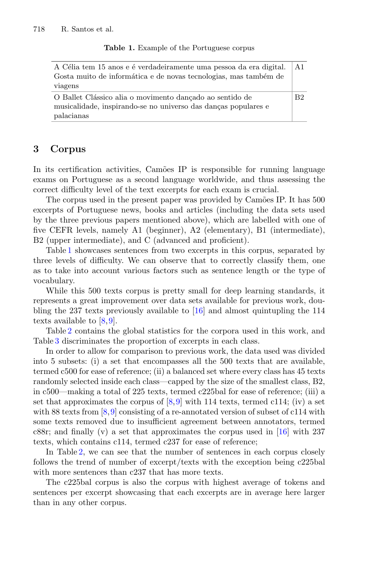| A Célia tem 15 anos e é verdadeiramente uma pessoa da era digital.<br>Gosta muito de informática e de novas tecnologias, mas também de<br>viagens | A 1 |
|---------------------------------------------------------------------------------------------------------------------------------------------------|-----|
| O Ballet Clássico alia o movimento dancado ao sentido de<br>musicalidade, inspirando-se no universo das danças populares e                        | B2  |
| palacianas                                                                                                                                        |     |

#### <span id="page-3-1"></span>**Table 1.** Example of the Portuguese corpus

### <span id="page-3-0"></span>**3 Corpus**

In its certification activities, Camões IP is responsible for running language exams on Portuguese as a second language worldwide, and thus assessing the correct difficulty level of the text excerpts for each exam is crucial.

The corpus used in the present paper was provided by Camões IP. It has 500 excerpts of Portuguese news, books and articles (including the data sets used by the three previous papers mentioned above), which are labelled with one of five CEFR levels, namely A1 (beginner), A2 (elementary), B1 (intermediate), B2 (upper intermediate), and C (advanced and proficient).

Table [1](#page-3-1) showcases sentences from two excerpts in this corpus, separated by three levels of difficulty. We can observe that to correctly classify them, one as to take into account various factors such as sentence length or the type of vocabulary.

While this 500 texts corpus is pretty small for deep learning standards, it represents a great improvement over data sets available for previous work, doubling the 237 texts previously available to [\[16\]](#page-10-13) and almost quintupling the 114 texts available to  $[8,9]$  $[8,9]$ .

Table [2](#page-4-1) contains the global statistics for the corpora used in this work, and Table [3](#page-4-2) discriminates the proportion of excerpts in each class.

In order to allow for comparison to previous work, the data used was divided into 5 subsets: (i) a set that encompasses all the 500 texts that are available, termed c500 for ease of reference; (ii) a balanced set where every class has 45 texts randomly selected inside each class—capped by the size of the smallest class, B2, in c500—making a total of 225 texts, termed c225bal for ease of reference; (iii) a set that approximates the corpus of  $[8,9]$  $[8,9]$  $[8,9]$  with 114 texts, termed c114; (iv) a set with 88 texts from [\[8](#page-9-2),[9\]](#page-9-3) consisting of a re-annotated version of subset of c114 with some texts removed due to insufficient agreement between annotators, termed c88r; and finally (v) a set that approximates the corpus used in  $[16]$  $[16]$  with 237 texts, which contains c114, termed c237 for ease of reference;

In Table [2,](#page-4-1) we can see that the number of sentences in each corpus closely follows the trend of number of excerpt/texts with the exception being c225bal with more sentences than c237 that has more texts.

The c225bal corpus is also the corpus with highest average of tokens and sentences per excerpt showcasing that each excerpts are in average here larger than in any other corpus.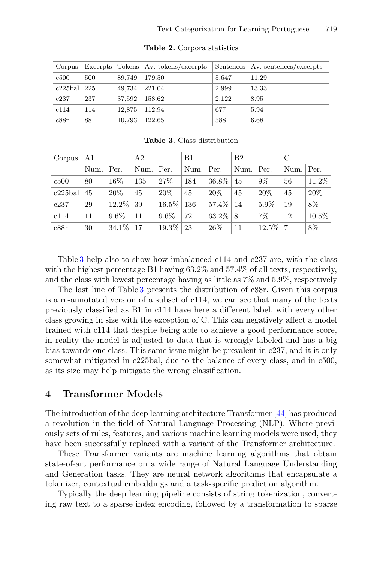| Corpus  |     |        | Excerpts   Tokens   Av. tokens/excerpts |       | Sentences   Av. sentences/excerpts |
|---------|-----|--------|-----------------------------------------|-------|------------------------------------|
| c500    | 500 | 89.749 | 179.50                                  | 5.647 | 11.29                              |
| c225bal | 225 | 49,734 | 221.04                                  | 2,999 | 13.33                              |
| c237    | 237 | 37,592 | 158.62                                  | 2.122 | 8.95                               |
| c114    | 114 | 12.875 | 112.94                                  | 677   | 5.94                               |
| c88r    | 88  | 10,793 | 122.65                                  | 588   | 6.68                               |

<span id="page-4-2"></span>**Table 3.** Class distribution

<span id="page-4-1"></span>**Table 2.** Corpora statistics

| Corpus  | A1   |          | A2            |                | B1                 |          | B <sub>2</sub> |          | $\mathcal{C}$ |       |
|---------|------|----------|---------------|----------------|--------------------|----------|----------------|----------|---------------|-------|
|         | Num. | Per.     | Num. $Per.$   |                | Num. $\frac{1}{2}$ | Per.     | Num.           | Per.     | Num.          | Per.  |
| c500    | 80   | $16\%$   | 135           | 27%            | 184                | 36.8%    | 45             | $9\%$    | 56            | 11.2% |
| c225bal | 45   | 20%      | 45            | 20%            | 45                 | 20%      | 45             | 20%      | 45            | 20%   |
| c237    | 29   | 12.2%    | 39            | $16.5\%$   136 |                    | $57.4\%$ | 14             | 5.9%     | 19            | 8%    |
| c114    | 11   | $9.6\%$  | 11            | $9.6\%$        | 72                 | 63.2%    | 8              | 7%       | 12            | 10.5% |
| c88r    | 30   | $34.1\%$ | <sup>17</sup> | $19.3\%$   23  |                    | $26\%$   | 11             | $12.5\%$ | . 7           | 8%    |

| c500    | 80 | 16%         | 135 | 27%            | 184       | 36.8%    | 45 | $9\%$      | 56 | 11.2\%   |
|---------|----|-------------|-----|----------------|-----------|----------|----|------------|----|----------|
| c225bal | 45 | 20%         | 45  | 20%            | 45        | 20%      | 45 | 20%        | 45 | 20%      |
| c237    | 29 | 12.2%       | -39 | $16.5\%$   136 |           | $57.4\%$ | 14 | 5.9%       | 19 | 8%       |
| c114    | 11 | $9.6\%$     | 11  | $9.6\%$        | 72        | $63.2\%$ | 8  | $7\%$      | 12 | $10.5\%$ |
| c88r    | 30 | $34.1\%$ 17 |     | 19.3%          | $\mid$ 23 | 26\%     | 11 | $12.5\%$ 7 |    | 8%       |
|         |    |             |     |                |           |          |    |            |    |          |
|         |    |             |     |                |           |          |    |            |    |          |

Table [3](#page-4-2) help also to show how imbalanced c114 and c237 are, with the class with the highest percentage B1 having 63.2% and 57.4% of all texts, respectively,

and the class with lowest percentage having as little as 7% and 5.9%, respectively The last line of Table [3](#page-4-2) presents the distribution of c88r. Given this corpus is a re-annotated version of a subset of c114, we can see that many of the texts previously classified as B1 in c114 have here a different label, with every other class growing in size with the exception of C. This can negatively affect a model trained with c114 that despite being able to achieve a good performance score, in reality the model is adjusted to data that is wrongly labeled and has a big bias towards one class. This same issue might be prevalent in c237, and it it only somewhat mitigated in c225bal, due to the balance of every class, and in c500, as its size may help mitigate the wrong classification.

#### <span id="page-4-0"></span>**4 Transformer Models**

The introduction of the deep learning architecture Transformer [\[44](#page-11-0)] has produced a revolution in the field of Natural Language Processing (NLP). Where previously sets of rules, features, and various machine learning models were used, they have been successfully replaced with a variant of the Transformer architecture.

These Transformer variants are machine learning algorithms that obtain state-of-art performance on a wide range of Natural Language Understanding and Generation tasks. They are neural network algorithms that encapsulate a tokenizer, contextual embeddings and a task-specific prediction algorithm.

Typically the deep learning pipeline consists of string tokenization, converting raw text to a sparse index encoding, followed by a transformation to sparse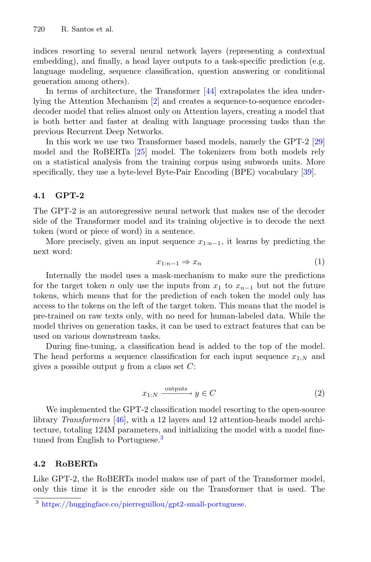indices resorting to several neural network layers (representing a contextual embedding), and finally, a head layer outputs to a task-specific prediction (e.g. language modeling, sequence classification, question answering or conditional generation among others).

In terms of architecture, the Transformer [\[44\]](#page-11-0) extrapolates the idea underlying the Attention Mechanism [\[2](#page-9-4)] and creates a sequence-to-sequence encoderdecoder model that relies almost only on Attention layers, creating a model that is both better and faster at dealing with language processing tasks than the previous Recurrent Deep Networks.

In this work we use two Transformer based models, namely the GPT-2 [\[29](#page-10-1)] model and the RoBERTa [\[25\]](#page-10-2) model. The tokenizers from both models rely on a statistical analysis from the training corpus using subwords units. More specifically, they use a byte-level Byte-Pair Encoding (BPE) vocabulary [\[39](#page-11-9)].

#### **4.1 GPT-2**

The GPT-2 is an autoregressive neural network that makes use of the decoder side of the Transformer model and its training objective is to decode the next token (word or piece of word) in a sentence.

More precisely, given an input sequence  $x_{1:n-1}$ , it learns by predicting the next word:

$$
x_{1:n-1} \Rightarrow x_n \tag{1}
$$

Internally the model uses a mask-mechanism to make sure the predictions for the target token *n* only use the inputs from  $x_1$  to  $x_{n-1}$  but not the future tokens, which means that for the prediction of each token the model only has access to the tokens on the left of the target token. This means that the model is pre-trained on raw texts only, with no need for human-labeled data. While the model thrives on generation tasks, it can be used to extract features that can be used on various downstream tasks.

During fine-tuning, a classification head is added to the top of the model. The head performs a sequence classification for each input sequence  $x_{1:N}$  and gives a possible output *y* from a class set *C*:

<span id="page-5-1"></span>
$$
x_{1:N} \xrightarrow{\text{outputs}} y \in C \tag{2}
$$

We implemented the GPT-2 classification model resorting to the open-source library *Transformers* [\[46\]](#page-11-10), with a 12 layers and 12 attention-heads model architecture, totaling 124M parameters, and initializing the model with a model fine-tuned from English to Portuguese.<sup>[3](#page-5-0)</sup>

#### **4.2 RoBERTa**

Like GPT-2, the RoBERTa model makes use of part of the Transformer model, only this time it is the encoder side on the Transformer that is used. The

<span id="page-5-0"></span><sup>3</sup> [https://huggingface.co/pierreguillou/gpt2-small-portuguese.](https://huggingface.co/pierreguillou/gpt2-small-portuguese)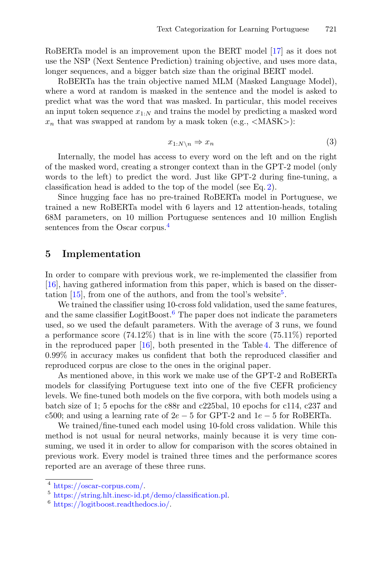RoBERTa model is an improvement upon the BERT model [\[17\]](#page-10-11) as it does not use the NSP (Next Sentence Prediction) training objective, and uses more data, longer sequences, and a bigger batch size than the original BERT model.

RoBERTa has the train objective named MLM (Masked Language Model), where a word at random is masked in the sentence and the model is asked to predict what was the word that was masked. In particular, this model receives an input token sequence  $x_1$ . $N$  and trains the model by predicting a masked word *x<sup>n</sup>* that was swapped at random by a mask token (e.g., *<*MASK*>*):

$$
x_{1:N\setminus n} \Rightarrow x_n \tag{3}
$$

Internally, the model has access to every word on the left and on the right of the masked word, creating a stronger context than in the GPT-2 model (only words to the left) to predict the word. Just like GPT-2 during fine-tuning, a classification head is added to the top of the model (see Eq. [2\)](#page-5-1).

Since hugging face has no pre-trained RoBERTa model in Portuguese, we trained a new RoBERTa model with 6 layers and 12 attention-heads, totaling 68M parameters, on 10 million Portuguese sentences and 10 million English sentences from the Oscar corpus.[4](#page-6-1)

#### <span id="page-6-0"></span>**5 Implementation**

In order to compare with previous work, we re-implemented the classifier from [\[16](#page-10-13)], having gathered information from this paper, which is based on the dissertation  $[15]$ , from one of the authors, and from the tool's website<sup>[5](#page-6-2)</sup>.

We trained the classifier using 10-cross fold validation, used the same features, and the same classifier LogitBoost.[6](#page-6-3) The paper does not indicate the parameters used, so we used the default parameters. With the average of 3 runs, we found a performance score  $(74.12\%)$  that is in line with the score  $(75.11\%)$  reported in the reproduced paper [\[16\]](#page-10-13), both presented in the Table [4.](#page-7-1) The difference of 0.99% in accuracy makes us confident that both the reproduced classifier and reproduced corpus are close to the ones in the original paper.

As mentioned above, in this work we make use of the GPT-2 and RoBERTa models for classifying Portuguese text into one of the five CEFR proficiency levels. We fine-tuned both models on the five corpora, with both models using a batch size of 1; 5 epochs for the c88r and c225bal, 10 epochs for c114, c237 and c500; and using a learning rate of 2*e* − 5 for GPT-2 and 1*e* − 5 for RoBERTa.

We trained/fine-tuned each model using 10-fold cross validation. While this method is not usual for neural networks, mainly because it is very time consuming, we used it in order to allow for comparison with the scores obtained in previous work. Every model is trained three times and the performance scores reported are an average of these three runs.

<span id="page-6-1"></span> $\overline{4}$ [https://oscar-corpus.com/.](https://oscar-corpus.com/)

<span id="page-6-2"></span><sup>5</sup> [https://string.hlt.inesc-id.pt/demo/classification.pl.](https://string.hlt.inesc-id.pt/demo/classification.pl)

<span id="page-6-3"></span><sup>6</sup> [https://logitboost.readthedocs.io/.](https://logitboost.readthedocs.io/)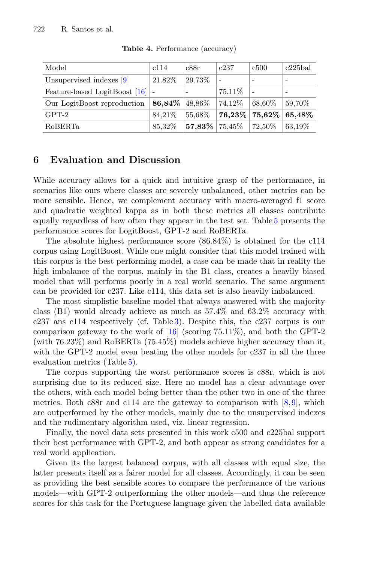| Model                           | c114    | c88r             | c237                     | c500                  | c225bal |
|---------------------------------|---------|------------------|--------------------------|-----------------------|---------|
| Unsupervised indexes [9]        | 21.82\% | 29.73%           | $\overline{\phantom{0}}$ |                       |         |
| Feature-based LogitBoost [16] - |         | -                | 75.11\%                  |                       |         |
| Our LogitBoost reproduction     | 86.84\% | 48,86%           | 74.12%                   | 68,60%                | 59,70%  |
| $GPT-2$                         | 84.21\% | 55.68\%          | $76{,}23\%$              | $\mid 75{,}62\% \mid$ | 65,48%  |
| RoBERTa                         | 85,32\% | $57,83\%$ 75,45% |                          | 72,50%                | 63,19%  |

<span id="page-7-1"></span>**Table 4.** Performance (accuracy)

### <span id="page-7-0"></span>**6 Evaluation and Discussion**

While accuracy allows for a quick and intuitive grasp of the performance, in scenarios like ours where classes are severely unbalanced, other metrics can be more sensible. Hence, we complement accuracy with macro-averaged f1 score and quadratic weighted kappa as in both these metrics all classes contribute equally regardless of how often they appear in the test set. Table [5](#page-8-1) presents the performance scores for LogitBoost, GPT-2 and RoBERTa.

The absolute highest performance score (86.84%) is obtained for the c114 corpus using LogitBoost. While one might consider that this model trained with this corpus is the best performing model, a case can be made that in reality the high imbalance of the corpus, mainly in the B1 class, creates a heavily biased model that will performs poorly in a real world scenario. The same argument can be provided for c237. Like c114, this data set is also heavily imbalanced.

The most simplistic baseline model that always answered with the majority class (B1) would already achieve as much as 57.4% and 63.2% accuracy with c237 ans c114 respectively (cf. Table [3\)](#page-4-2). Despite this, the c237 corpus is our comparison gateway to the work of  $[16]$  $[16]$  (scoring 75.11%), and both the GPT-2 (with 76.23%) and RoBERTa (75.45%) models achieve higher accuracy than it, with the GPT-2 model even beating the other models for c237 in all the three evaluation metrics (Table [5\)](#page-8-1).

The corpus supporting the worst performance scores is c88r, which is not surprising due to its reduced size. Here no model has a clear advantage over the others, with each model being better than the other two in one of the three metrics. Both c88r and c114 are the gateway to comparison with  $[8,9]$  $[8,9]$  $[8,9]$ , which are outperformed by the other models, mainly due to the unsupervised indexes and the rudimentary algorithm used, viz. linear regression.

Finally, the novel data sets presented in this work c500 and c225bal support their best performance with GPT-2, and both appear as strong candidates for a real world application.

Given its the largest balanced corpus, with all classes with equal size, the latter presents itself as a fairer model for all classes. Accordingly, it can be seen as providing the best sensible scores to compare the performance of the various models—with GPT-2 outperforming the other models—and thus the reference scores for this task for the Portuguese language given the labelled data available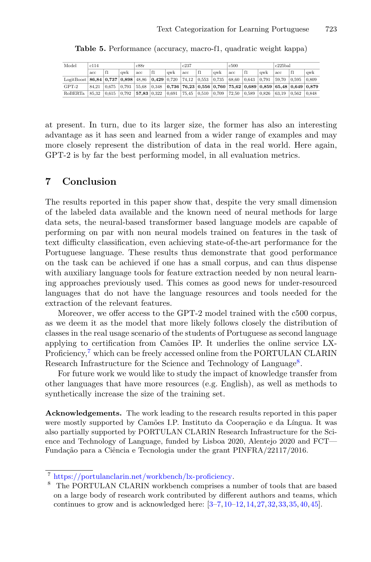| Model                                                                                      | c114 |  |     | c88r                                                                                   |    | c237 |     | c500 |     |      | $c225$ bal |       |                                                                                                                                                                   |       |       |
|--------------------------------------------------------------------------------------------|------|--|-----|----------------------------------------------------------------------------------------|----|------|-----|------|-----|------|------------|-------|-------------------------------------------------------------------------------------------------------------------------------------------------------------------|-------|-------|
|                                                                                            | acc  |  | awk | acc                                                                                    | f1 | qwk  | acc |      | qwk | acc. |            | awk   | acc                                                                                                                                                               |       | qwk   |
| LogitBoost   86,84   0,737   0,898   48.86   0,429   0,720   74,12   0,553   0,735   68,60 |      |  |     |                                                                                        |    |      |     |      |     |      | 0.643      | 0.791 | 59.70                                                                                                                                                             | 0.595 | 0.809 |
| $GPT-2$                                                                                    |      |  |     |                                                                                        |    |      |     |      |     |      |            |       | $84.21 \mid 0.675 \mid 0.793 \mid 55.68 \mid 0.348 \mid 0.736 \mid 76.23 \mid 0.556 \mid 0.760 \mid 75.62 \mid 0.689 \mid 0.859 \mid 65.48 \mid 0.649 \mid 0.879$ |       |       |
| RoBERTa                                                                                    |      |  |     | $85.32$   0.615   0.792   <b>57.83</b>   0.322   0.691   75.45   0.510   0.709   72.50 |    |      |     |      |     |      | 0.589      | 0.826 | 63.19                                                                                                                                                             | 0.562 | 0.848 |

<span id="page-8-1"></span>**Table 5.** Performance (accuracy, macro-f1, quadratic weight kappa)

at present. In turn, due to its larger size, the former has also an interesting advantage as it has seen and learned from a wider range of examples and may more closely represent the distribution of data in the real world. Here again, GPT-2 is by far the best performing model, in all evaluation metrics.

#### <span id="page-8-0"></span>**7 Conclusion**

The results reported in this paper show that, despite the very small dimension of the labeled data available and the known need of neural methods for large data sets, the neural-based transformer based language models are capable of performing on par with non neural models trained on features in the task of text difficulty classification, even achieving state-of-the-art performance for the Portuguese language. These results thus demonstrate that good performance on the task can be achieved if one has a small corpus, and can thus dispense with auxiliary language tools for feature extraction needed by non neural learning approaches previously used. This comes as good news for under-resourced languages that do not have the language resources and tools needed for the extraction of the relevant features.

Moreover, we offer access to the GPT-2 model trained with the c500 corpus, as we deem it as the model that more likely follows closely the distribution of classes in the real usage scenario of the students of Portuguese as second language applying to certification from Cam˜oes IP. It underlies the online service LX-Proficiency,<sup>[7](#page-8-2)</sup> which can be freely accessed online from the PORTULAN CLARIN Research Infrastructure for the Science and Technology of Language<sup>[8](#page-8-3)</sup>.

For future work we would like to study the impact of knowledge transfer from other languages that have more resources (e.g. English), as well as methods to synthetically increase the size of the training set.

**Acknowledgements.** The work leading to the research results reported in this paper were mostly supported by Camões I.P. Instituto da Cooperação e da Língua. It was also partially supported by PORTULAN CLARIN Research Infrastructure for the Science and Technology of Language, funded by Lisboa 2020, Alentejo 2020 and FCT— Fundação para a Ciência e Tecnologia under the grant PINFRA/22117/2016.

<span id="page-8-2"></span> $^7$ [https://portulanclarin.net/workbench/lx-proficiency.](https://portulanclarin.net/workbench/lx-proficiency)

<span id="page-8-3"></span> $^8\;$  The PORTULAN CLARIN workbench comprises a number of tools that are based on a large body of research work contributed by different authors and teams, which continues to grow and is acknowledged here:  $[3-7, 10-12, 14, 27, 32, 33, 35, 40, 45]$  $[3-7, 10-12, 14, 27, 32, 33, 35, 40, 45]$  $[3-7, 10-12, 14, 27, 32, 33, 35, 40, 45]$  $[3-7, 10-12, 14, 27, 32, 33, 35, 40, 45]$  $[3-7, 10-12, 14, 27, 32, 33, 35, 40, 45]$  $[3-7, 10-12, 14, 27, 32, 33, 35, 40, 45]$  $[3-7, 10-12, 14, 27, 32, 33, 35, 40, 45]$  $[3-7, 10-12, 14, 27, 32, 33, 35, 40, 45]$  $[3-7, 10-12, 14, 27, 32, 33, 35, 40, 45]$  $[3-7, 10-12, 14, 27, 32, 33, 35, 40, 45]$  $[3-7, 10-12, 14, 27, 32, 33, 35, 40, 45]$  $[3-7, 10-12, 14, 27, 32, 33, 35, 40, 45]$ .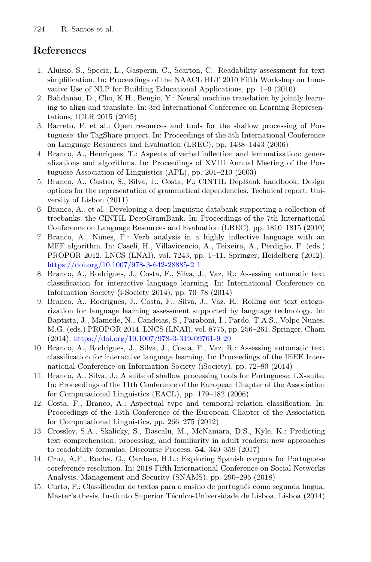## **References**

- <span id="page-9-1"></span>1. Aluisio, S., Specia, L., Gasperin, C., Scarton, C.: Readability assessment for text simplification. In: Proceedings of the NAACL HLT 2010 Fifth Workshop on Innovative Use of NLP for Building Educational Applications, pp. 1–9 (2010)
- <span id="page-9-4"></span>2. Bahdanau, D., Cho, K.H., Bengio, Y.: Neural machine translation by jointly learning to align and translate. In: 3rd International Conference on Learning Representations, ICLR 2015 (2015)
- <span id="page-9-6"></span>3. Barreto, F. et al.: Open resources and tools for the shallow processing of Portuguese: the TagShare project. In: Proceedings of the 5th International Conference on Language Resources and Evaluation (LREC), pp. 1438–1443 (2006)
- 4. Branco, A., Henriques, T.: Aspects of verbal inflection and lemmatization: generalizations and algorithms. In: Proceedings of XVIII Annual Meeting of the Portuguese Association of Linguistics (APL), pp. 201–210 (2003)
- 5. Branco, A., Castro, S., Silva, J., Costa, F.: CINTIL DepBank handbook: Design options for the representation of grammatical dependencies. Technical report, University of Lisbon (2011)
- 6. Branco, A., et al.: Developing a deep linguistic databank supporting a collection of treebanks: the CINTIL DeepGramBank. In: Proceedings of the 7th International Conference on Language Resources and Evaluation (LREC), pp. 1810–1815 (2010)
- <span id="page-9-7"></span>7. Branco, A., Nunes, F.: Verb analysis in a highly inflective language with an MFF algorithm. In: Caseli, H., Villavicencio, A., Teixeira, A., Perdigão, F. (eds.) PROPOR 2012. LNCS (LNAI), vol. 7243, pp. 1–11. Springer, Heidelberg (2012). [https://doi.org/10.1007/978-3-642-28885-2](https://doi.org/10.1007/978-3-642-28885-2_1) 1
- <span id="page-9-2"></span>8. Branco, A., Rodrigues, J., Costa, F., Silva, J., Vaz, R.: Assessing automatic text classification for interactive language learning. In: International Conference on Information Society (i-Society 2014), pp. 70–78 (2014)
- <span id="page-9-3"></span>9. Branco, A., Rodrigues, J., Costa, F., Silva, J., Vaz, R.: Rolling out text categorization for language learning assessment supported by language technology. In: Baptista, J., Mamede, N., Candeias, S., Paraboni, I., Pardo, T.A.S., Volpe Nunes, M.G. (eds.) PROPOR 2014. LNCS (LNAI), vol. 8775, pp. 256–261. Springer, Cham (2014). [https://doi.org/10.1007/978-3-319-09761-9](https://doi.org/10.1007/978-3-319-09761-9_29) 29
- <span id="page-9-8"></span>10. Branco, A., Rodrigues, J., Silva, J., Costa, F., Vaz, R.: Assessing automatic text classification for interactive language learning. In: Proceedings of the IEEE International Conference on Information Society (iSociety), pp. 72–80 (2014)
- 11. Branco, A., Silva, J.: A suite of shallow processing tools for Portuguese: LX-suite. In: Proceedings of the 11th Conference of the European Chapter of the Association for Computational Linguistics (EACL), pp. 179–182 (2006)
- <span id="page-9-9"></span>12. Costa, F., Branco, A.: Aspectual type and temporal relation classification. In: Proceedings of the 13th Conference of the European Chapter of the Association for Computational Linguistics, pp. 266–275 (2012)
- <span id="page-9-0"></span>13. Crossley, S.A., Skalicky, S., Dascalu, M., McNamara, D.S., Kyle, K.: Predicting text comprehension, processing, and familiarity in adult readers: new approaches to readability formulas. Discourse Process. **54**, 340–359 (2017)
- <span id="page-9-10"></span>14. Cruz, A.F., Rocha, G., Cardoso, H.L.: Exploring Spanish corpora for Portuguese coreference resolution. In: 2018 Fifth International Conference on Social Networks Analysis, Management and Security (SNAMS), pp. 290–295 (2018)
- <span id="page-9-5"></span>15. Curto, P.: Classificador de textos para o ensino de português como segunda lingua. Master's thesis, Instituto Superior Técnico-Universidade de Lisboa, Lisboa (2014)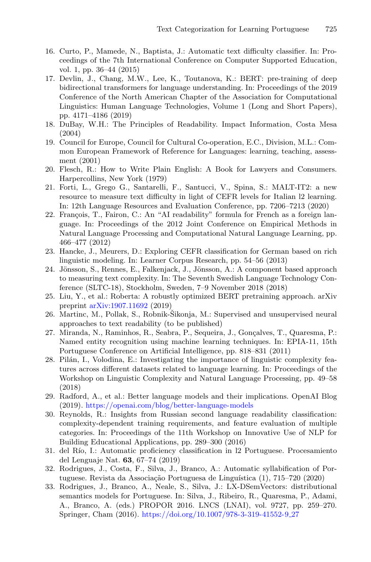- <span id="page-10-13"></span>16. Curto, P., Mamede, N., Baptista, J.: Automatic text difficulty classifier. In: Proceedings of the 7th International Conference on Computer Supported Education, vol. 1, pp. 36–44 (2015)
- <span id="page-10-11"></span>17. Devlin, J., Chang, M.W., Lee, K., Toutanova, K.: BERT: pre-training of deep bidirectional transformers for language understanding. In: Proceedings of the 2019 Conference of the North American Chapter of the Association for Computational Linguistics: Human Language Technologies, Volume 1 (Long and Short Papers), pp. 4171–4186 (2019)
- <span id="page-10-3"></span>18. DuBay, W.H.: The Principles of Readability. Impact Information, Costa Mesa (2004)
- <span id="page-10-0"></span>19. Council for Europe, Council for Cultural Co-operation, E.C., Division, M.L.: Common European Framework of Reference for Languages: learning, teaching, assessment (2001)
- <span id="page-10-14"></span>20. Flesch, R.: How to Write Plain English: A Book for Lawyers and Consumers. Harpercollins, New York (1979)
- <span id="page-10-8"></span>21. Forti, L., Grego G., Santarelli, F., Santucci, V., Spina, S.: MALT-IT2: a new resource to measure text difficulty in light of CEFR levels for Italian l2 learning. In: 12th Language Resources and Evaluation Conference, pp. 7206–7213 (2020)
- <span id="page-10-6"></span>22. François, T., Fairon, C.: An "AI readability" formula for French as a foreign language. In: Proceedings of the 2012 Joint Conference on Empirical Methods in Natural Language Processing and Computational Natural Language Learning, pp. 466–477 (2012)
- <span id="page-10-7"></span>23. Hancke, J., Meurers, D.: Exploring CEFR classification for German based on rich linguistic modeling. In: Learner Corpus Research, pp. 54–56 (2013)
- <span id="page-10-4"></span>24. Jönsson, S., Rennes, E., Falkenjack, J., Jönsson, A.: A component based approach to measuring text complexity. In: The Seventh Swedish Language Technology Conference (SLTC-18), Stockholm, Sweden, 7–9 November 2018 (2018)
- <span id="page-10-2"></span>25. Liu, Y., et al.: Roberta: A robustly optimized BERT pretraining approach. arXiv preprint [arXiv:1907.11692](http://arxiv.org/abs/1907.11692) (2019)
- <span id="page-10-10"></span>26. Martinc, M., Pollak, S., Robnik-Šikonja, M.: Supervised and unsupervised neural approaches to text readability (to be published)
- <span id="page-10-15"></span>27. Miranda, N., Raminhos, R., Seabra, P., Sequeira, J., Gonçalves, T., Quaresma, P.: Named entity recognition using machine learning techniques. In: EPIA-11, 15th Portuguese Conference on Artificial Intelligence, pp. 818–831 (2011)
- <span id="page-10-5"></span>28. Pilán, I., Volodina, E.: Investigating the importance of linguistic complexity features across different datasets related to language learning. In: Proceedings of the Workshop on Linguistic Complexity and Natural Language Processing, pp. 49–58 (2018)
- <span id="page-10-1"></span>29. Radford, A., et al.: Better language models and their implications. OpenAI Blog (2019). <https://openai.com/blog/better-language-models>
- <span id="page-10-9"></span>30. Reynolds, R.: Insights from Russian second language readability classification: complexity-dependent training requirements, and feature evaluation of multiple categories. In: Proceedings of the 11th Workshop on Innovative Use of NLP for Building Educational Applications, pp. 289–300 (2016)
- <span id="page-10-12"></span>31. del Río, I.: Automatic proficiency classification in 12 Portuguese. Procesamiento del Lenguaje Nat. **63**, 67–74 (2019)
- <span id="page-10-16"></span>32. Rodrigues, J., Costa, F., Silva, J., Branco, A.: Automatic syllabification of Portuguese. Revista da Associação Portuguesa de Linguística (1), 715–720 (2020)
- <span id="page-10-17"></span>33. Rodrigues, J., Branco, A., Neale, S., Silva, J.: LX-DSemVectors: distributional semantics models for Portuguese. In: Silva, J., Ribeiro, R., Quaresma, P., Adami, A., Branco, A. (eds.) PROPOR 2016. LNCS (LNAI), vol. 9727, pp. 259–270. Springer, Cham (2016). [https://doi.org/10.1007/978-3-319-41552-9](https://doi.org/10.1007/978-3-319-41552-9_27) 27